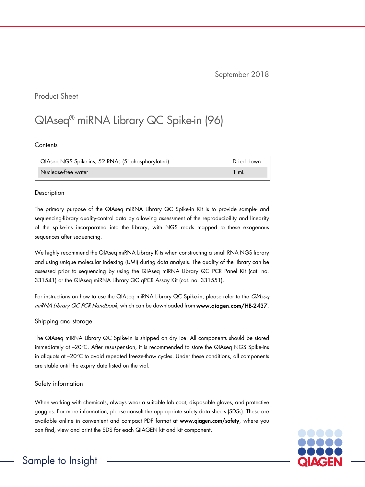September 2018

### Product Sheet

# QIAseq® miRNA Library QC Spike-in (96)

**Contents** 

| QIAseq NGS Spike-ins, 52 RNAs (5' phosphorylated) | Dried down |
|---------------------------------------------------|------------|
| Nuclease-free water                               | ∣ mL       |

#### Description

The primary purpose of the QIAseq miRNA Library QC Spike-in Kit is to provide sample- and sequencing-library quality-control data by allowing assessment of the reproducibility and linearity of the spike-ins incorporated into the library, with NGS reads mapped to these exogenous sequences after sequencing.

We highly recommend the QIAseq miRNA Library Kits when constructing a small RNA NGS library and using unique molecular indexing (UMI) during data analysis. The quality of the library can be assessed prior to sequencing by using the QIAseq miRNA Library QC PCR Panel Kit (cat. no. 331541) or the QIAseq miRNA Library QC qPCR Assay Kit (cat. no. 331551).

For instructions on how to use the QIAseq miRNA Library QC Spike-in, please refer to the QIAseq miRNA Library QC PCR Handbook, which can be downloaded from www.qiagen.com/HB-2437.

### Shipping and storage

The QIAseq miRNA Library QC Spike-in is shipped on dry ice. All components should be stored immediately at –20°C. After resuspension, it is recommended to store the QIAseq NGS Spike-ins in aliquots at –20°C to avoid repeated freeze-thaw cycles. Under these conditions, all components are stable until the expiry date listed on the vial.

#### Safety information

When working with chemicals, always wear a suitable lab coat, disposable gloves, and protective goggles. For more information, please consult the appropriate safety data sheets (SDSs). These are available online in convenient and compact PDF format at [www.qiagen.com/safety](http://www.qiagen.com/safety), where you can find, view and print the SDS for each QIAGEN kit and kit component.



# Sample to Insight